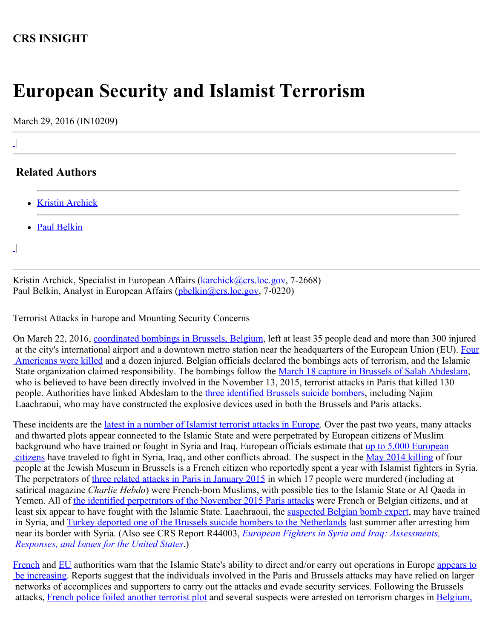## **CRS INSIGHT**

## **European Security and Islamist Terrorism**

March 29, 2016 (IN10209)

## **Related Authors**

- [Kristin Archick](http://www.crs.gov/Author/index?id=72519)
- [Paul Belkin](http://www.crs.gov/Author/index?id=100862)

 $\perp$ |

|

 $\perp$ 

Kristin Archick, Specialist in European Affairs ([karchick@crs.loc.gov,](mailto:karchick@crs.loc.gov) 7-2668) Paul Belkin, Analyst in European Affairs ([pbelkin@crs.loc.gov](mailto:pbelkin@crs.loc.gov), 7-0220)

Terrorist Attacks in Europe and Mounting Security Concerns

On March 22, 2016, [coordinated bombings in Brussels, Belgium](http://www.politico.eu/article/brussels-attacks-live-blog-isil-terror-2016-malbeek-zaventem/), left at least 35 people dead and more than 300 injured at the city's international airport and a downtown metro station near the headquarters of the European Union (EU). [Four](http://www.usnews.com/news/politics/articles/2016-03-27/official-2-more-americans-identified-as-brussels-victims)  [Americans were killed](http://www.usnews.com/news/politics/articles/2016-03-27/official-2-more-americans-identified-as-brussels-victims) and a dozen injured. Belgian officials declared the bombings acts of terrorism, and the Islamic State organization claimed responsibility. The bombings follow the [March 18 capture in Brussels of Salah Abdeslam](https://www.washingtonpost.com/world/europe/fallout-of-arrest-in-belgium-of-paris-terror-suspect/2016/03/19/13d56ede-ed4f-11e5-a9ce-681055c7a05f_story.html?hpid=hp_rhp-more-top-stories_no-name%3Ahomepage%2Fstory), who is believed to have been directly involved in the November 13, 2015, terrorist attacks in Paris that killed 130 people. Authorities have linked Abdeslam to the *three identified Brussels suicide bombers*, including Najim Laachraoui, who may have constructed the explosive devices used in both the Brussels and Paris attacks.

These incidents are the *latest in a number of Islamist terrorist attacks in Europe*. Over the past two years, many attacks and thwarted plots appear connected to the Islamic State and were perpetrated by European citizens of Muslim background who have trained or fought in Syria and Iraq. European officials estimate that [up to 5,000 European](https://euobserver.com/news/127202)  [citizens](https://euobserver.com/news/127202) have traveled to fight in Syria, Iraq, and other conflicts abroad. The suspect in the [May 2014 killing](http://www.nytimes.com/2014/06/02/world/europe/suspect-arrested-in-jewish-museum-killings-in-belgium.html?_r=0) of four people at the Jewish Museum in Brussels is a French citizen who reportedly spent a year with Islamist fighters in Syria. The perpetrators of [three related attacks in Paris in January 2015](http://www.nytimes.com/2015/01/15/world/europe/al-qaeda-in-the-arabian-peninsula-charlie-hebdo.html?_r=3) in which 17 people were murdered (including at satirical magazine *Charlie Hebdo*) were French-born Muslims, with possible ties to the Islamic State or Al Qaeda in Yemen. All of [the identified perpetrators of the November 2015 Paris attacks](http://www.bbc.com/news/world-europe-34832512) were French or Belgian citizens, and at least six appear to have fought with the Islamic State. Laachraoui, the [suspected Belgian bomb expert](https://www.washingtonpost.com/world/brussels-on-high-alert-after-explosions-at-airport-and-metro-station/2016/03/22/b5e9f232-f018-11e5-a61f-e9c95c06edca_story.html?hpid=hp_rhp-top-table-main_brussels-635am%3Ahomepage%2Fstory), may have trained in Syria, and [Turkey deported one of the Brussels suicide bombers to the Netherlands](https://next.ft.com/content/65c89c22-f1cb-11e5-aff5-19b4e253664a) last summer after arresting him near its border with Syria. (Also see CRS Report R44003, *[European Fighters in Syria and Iraq: Assessments,](http://www.fas.org/sgp/crs/row/R44003.pdf)  [Responses, and Issues for the United States](http://www.fas.org/sgp/crs/row/R44003.pdf)*.)

[French](http://www.nytimes.com/2016/03/20/world/europe/a-view-of-isiss-evolution-in-new-details-of-paris-attacks.html) and [EU](https://www.europol.europa.eu/content/changes-modus-operandi-islamic-state-terrorist-attacks) authorities warn that the Islamic State's ability to direct and/or carry out operations in Europe [appears to](http://www.bbc.co.uk/programmes/p03nwpd0)  [be increasing](http://www.bbc.co.uk/programmes/p03nwpd0). Reports suggest that the individuals involved in the Paris and Brussels attacks may have relied on larger networks of accomplices and supporters to carry out the attacks and evade security services. Following the Brussels attacks, [French police foiled another terrorist plot](http://www.nytimes.com/2016/03/26/world/europe/brussels-attacks-police.html) and several suspects were arrested on terrorism charges in [Belgium,](http://www.nytimes.com/2016/03/28/world/europe/brussels-attack-paris-italy-arrest.html?action=click&contentCollection=Europe&module=RelatedCoverage®ion=EndOfArticle&pgtype=article)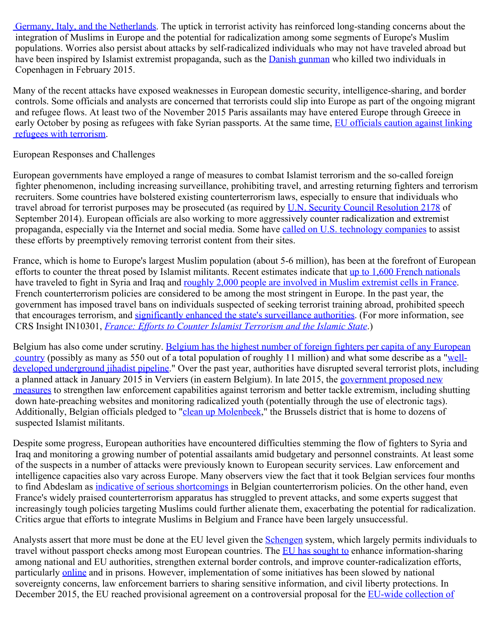[Germany, Italy, and the Netherlands](http://www.nytimes.com/2016/03/28/world/europe/brussels-attack-paris-italy-arrest.html?action=click&contentCollection=Europe&module=RelatedCoverage®ion=EndOfArticle&pgtype=article). The uptick in terrorist activity has reinforced long-standing concerns about the integration of Muslims in Europe and the potential for radicalization among some segments of Europe's Muslim populations. Worries also persist about attacks by self-radicalized individuals who may not have traveled abroad but have been inspired by Islamist extremist propaganda, such as the [Danish gunman](http://www.nytimes.com/2015/02/17/world/europe/copenhagen-denmark-attacks.html?_r=0) who killed two individuals in Copenhagen in February 2015.

Many of the recent attacks have exposed weaknesses in European domestic security, intelligence-sharing, and border controls. Some officials and analysts are concerned that terrorists could slip into Europe as part of the ongoing migrant and refugee flows. At least two of the November 2015 Paris assailants may have entered Europe through Greece in early October by posing as refugees with fake Syrian passports. At the same time, [EU officials caution against linking](https://euobserver.com/political/131114)  [refugees with terrorism.](https://euobserver.com/political/131114)

## European Responses and Challenges

European governments have employed a range of measures to combat Islamist terrorism and the so-called foreign fighter phenomenon, including increasing surveillance, prohibiting travel, and arresting returning fighters and terrorism recruiters. Some countries have bolstered existing counterterrorism laws, especially to ensure that individuals who travel abroad for terrorist purposes may be prosecuted (as required by [U.N. Security Council Resolution 2178](http://www.un.org/en/sc/ctc/docs/2015/SCR%202178_2014_EN.pdf) of September 2014). European officials are also working to more aggressively counter radicalization and extremist propaganda, especially via the Internet and social media. Some have [called on U.S. technology companies](http://www.wsj.com/articles/france-germany-seek-help-from-tech-firms-in-policing-terrorism-online-1421766194) to assist these efforts by preemptively removing terrorist content from their sites.

France, which is home to Europe's largest Muslim population (about 5-6 million), has been at the forefront of European efforts to counter the threat posed by Islamist militants. Recent estimates indicate that [up to 1,600 French nationals](http://www.rferl.org/contentinfographics/foreign-fighters-syria-iraq-is-isis-isil-infographic/26584940.html) have traveled to fight in Syria and Iraq and [roughly 2,000 people are involved in Muslim extremist cells in France](http://www.ft.com/intl/cms/s/2/1069e45c-8aec-11e5-a549-b89a1dfede9b.html#axzz3raUP7URw). French counterterrorism policies are considered to be among the most stringent in Europe. In the past year, the government has imposed travel bans on individuals suspected of seeking terrorist training abroad, prohibited speech that encourages terrorism, and [significantly enhanced the state's surveillance authorities.](http://www.theguardian.com/world/2015/may/05/france-passes-new-surveillance-law-in-wake-of-charlie-hebdo-attack) (For more information, see CRS Insight IN10301, *[France: Efforts to Counter Islamist Terrorism and the Islamic State](http://www.fas.org/sgp/crs/terror/IN10301.pdf)*.)

Belgium has also come under scrutiny. [Belgium has the highest number of foreign fighters per capita of any European](https://www.washingtonpost.com/news/worldviews/wp/2016/03/22/belgiums-big-problem-with-radical-islam/?tid=pm_world_pop_b)  [country](https://www.washingtonpost.com/news/worldviews/wp/2016/03/22/belgiums-big-problem-with-radical-islam/?tid=pm_world_pop_b) (possibly as many as 550 out of a total population of roughly 11 million) and what some describe as a "[well](http://www.nytimes.com/2015/01/25/world/europe/belgium-confronts-the-jihadist-danger-within.html)[developed underground jihadist pipeline.](http://www.nytimes.com/2015/01/25/world/europe/belgium-confronts-the-jihadist-danger-within.html)" Over the past year, authorities have disrupted several terrorist plots, including a planned attack in January 2015 in Verviers (in eastern Belgium). In late 2015, the [government proposed new](http://www.politico.eu/article/belgium-earmarks-400-million-to-islamist-radicalization-anti-terrorism-paris-attacks/)  [measures](http://www.politico.eu/article/belgium-earmarks-400-million-to-islamist-radicalization-anti-terrorism-paris-attacks/) to strengthen law enforcement capabilities against terrorism and better tackle extremism, including shutting down hate-preaching websites and monitoring radicalized youth (potentially through the use of electronic tags). Additionally, Belgian officials pledged to ["clean up Molenbeek](http://www.politico.eu/article/attack-on-paris-what-happened-im-going-to-clean-up-molenbeek/)," the Brussels district that is home to dozens of suspected Islamist militants.

Despite some progress, European authorities have encountered difficulties stemming the flow of fighters to Syria and Iraq and monitoring a growing number of potential assailants amid budgetary and personnel constraints. At least some of the suspects in a number of attacks were previously known to European security services. Law enforcement and intelligence capacities also vary across Europe. Many observers view the fact that it took Belgian services four months to find Abdeslam as [indicative of serious shortcomings](http://www.politico.eu/article/hunt-for-europes-most-wanted-man-abdeslam-isil-brussels-belgium-france-paris-attacks/) in Belgian counterterrorism policies. On the other hand, even France's widely praised counterterrorism apparatus has struggled to prevent attacks, and some experts suggest that increasingly tough policies targeting Muslims could further alienate them, exacerbating the potential for radicalization. Critics argue that efforts to integrate Muslims in Belgium and France have been largely unsuccessful.

Analysts assert that more must be done at the EU level given the [Schengen](http://ec.europa.eu/dgs/home-affairs/what-we-do/policies/borders-and-visas/schengen/index_en.htm) system, which largely permits individuals to travel without passport checks among most European countries. The [EU has sought to](http://www.consilium.europa.eu/en/policies/fight-against-terrorism/foreign-fighters/) enhance information-sharing among national and EU authorities, strengthen external border controls, and improve counter-radicalization efforts, particularly [online](http://www.ft.com/intl/cms/s/0/4d93b7f0-c804-11e4-9226-00144feab7de.html?siteedition=intl#axzz3UBhOjPEh) and in prisons. However, implementation of some initiatives has been slowed by national sovereignty concerns, law enforcement barriers to sharing sensitive information, and civil liberty protections. In December 2015, the EU reached provisional agreement on a controversial proposal for the [EU-wide collection of](http://www.europarl.europa.eu/news/en/news-room/content/20150123BKG12902/html/EU-Passenger-Name-Record-(PNR)-proposal-what)